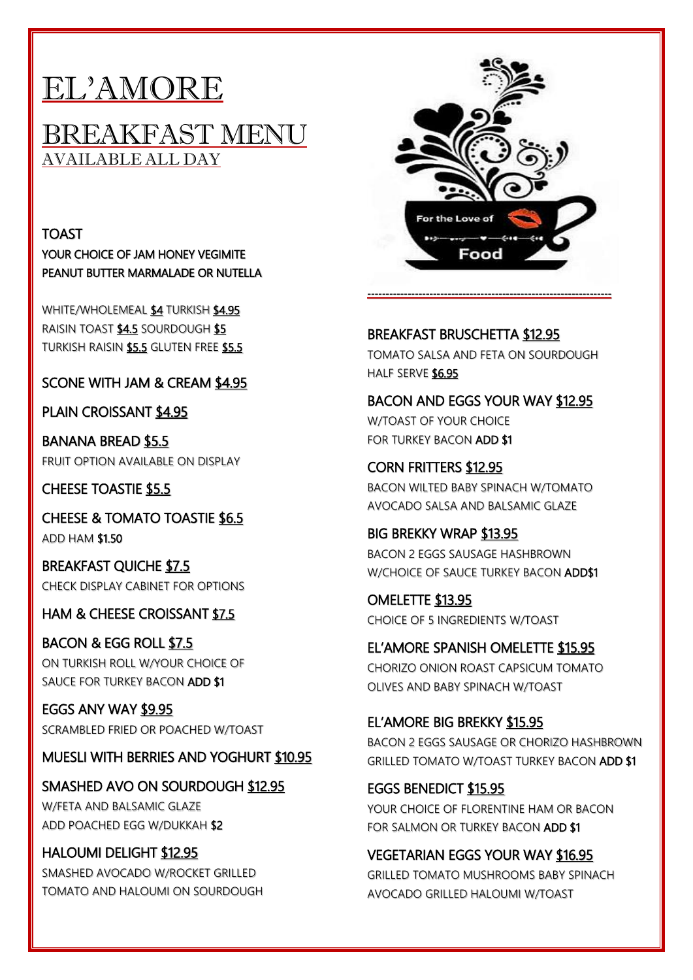# EL'AMORE

#### BREAKFAST MENU AVAILABLE ALL DAY

TOAST YOUR CHOICE OF JAM HONEY VEGIMITE PEANUT BUTTER MARMALADE OR NUTELLA

WHITE/WHOLEMEAL \$4 TURKISH \$4.95 RAISIN TOAST \$4.5 SOURDOUGH \$5 TURKISH RAISIN \$5.5 GLUTEN FREE \$5.5

SCONE WITH JAM & CREAM \$4.95

PLAIN CROISSANT \$4.95

BANANA BREAD \$5.5 FRUIT OPTION AVAILABLE ON DISPLAY

CHEESE TOASTIE \$5.5

CHEESE & TOMATO TOASTIE \$6.5 ADD HAM \$1.50

BREAKFAST QUICHE \$7.5 CHECK DISPLAY CABINET FOR OPTIONS

HAM & CHEESE CROISSANT \$7.5

BACON & EGG ROLL \$7.5 ON TURKISH ROLL W/YOUR CHOICE OF SAUCE FOR TURKEY BACON ADD \$1

EGGS ANY WAY \$9.95 SCRAMBLED FRIED OR POACHED W/TOAST

MUESLI WITH BERRIES AND YOGHURT \$10.95

SMASHED AVO ON SOURDOUGH \$12.95 W/FETA AND BALSAMIC GLAZE ADD POACHED EGG W/DUKKAH \$2

HALOUMI DELIGHT \$12.95 SMASHED AVOCADO W/ROCKET GRILLED TOMATO AND HALOUMI ON SOURDOUGH



BREAKFAST BRUSCHETTA \$12.95 TOMATO SALSA AND FETA ON SOURDOUGH HALF SERVE \$6.95

BACON AND EGGS YOUR WAY \$12.95 W/TOAST OF YOUR CHOICE FOR TURKEY BACON ADD \$1

CORN FRITTERS \$12.95 BACON WILTED BABY SPINACH W/TOMATO AVOCADO SALSA AND BALSAMIC GLAZE

BIG BREKKY WRAP \$13.95 BACON 2 EGGS SAUSAGE HASHBROWN W/CHOICE OF SAUCE TURKEY BACON ADD\$1

OMELETTE \$13.95 CHOICE OF 5 INGREDIENTS W/TOAST

EL'AMORE SPANISH OMELETTE \$15.95 CHORIZO ONION ROAST CAPSICUM TOMATO OLIVES AND BABY SPINACH W/TOAST

EL'AMORE BIG BREKKY \$15.95

BACON 2 EGGS SAUSAGE OR CHORIZO HASHBROWN GRILLED TOMATO W/TOAST TURKEY BACON ADD \$1

EGGS BENEDICT \$15.95 YOUR CHOICE OF FLORENTINE HAM OR BACON FOR SALMON OR TURKEY BACON ADD \$1

VEGETARIAN EGGS YOUR WAY \$16.95 GRILLED TOMATO MUSHROOMS BABY SPINACH AVOCADO GRILLED HALOUMI W/TOAST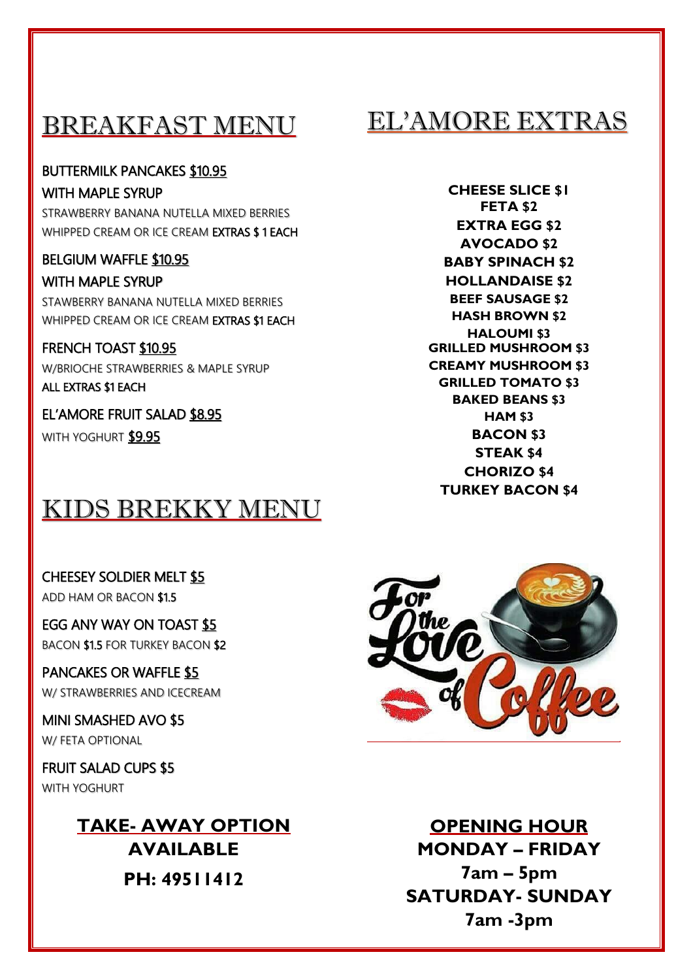## BREAKFAST MENU

#### BUTTERMILK PANCAKES \$10.95

WITH MAPLE SYRUP STRAWBERRY BANANA NUTELLA MIXED BERRIES WHIPPED CREAM OR ICE CREAM EXTRAS \$ 1 EACH

BELGIUM WAFFLE \$10.95 WITH MAPLE SYRUP STAWBERRY BANANA NUTELLA MIXED BERRIES WHIPPED CREAM OR ICE CREAM EXTRAS \$1 EACH

FRENCH TOAST \$10.95 W/BRIOCHE STRAWBERRIES & MAPLE SYRUP ALL EXTRAS \$1 EACH

EL'AMORE FRUIT SALAD \$8.95 WITH YOGHURT \$9.95

### KIDS BREKKY MENU

CHEESEY SOLDIER MELT \$5 ADD HAM OR BACON \$1.5

EGG ANY WAY ON TOAST \$5 BACON \$1.5 FOR TURKEY BACON \$2

PANCAKES OR WAFFLE \$5 W/ STRAWBERRIES AND ICECREAM

MINI SMASHED AVO \$5 W/ FETA OPTIONAL

FRUIT SALAD CUPS \$5 WITH YOGHURT

> **TAKE- AWAY OPTION AVAILABLE PH: 49511412**

EL'AMORE EXTRAS

**CHEESE SLICE \$1 FETA \$2 EXTRA EGG \$2 AVOCADO \$2 BABY SPINACH \$2 HOLLANDAISE \$2 BEEF SAUSAGE \$2 HASH BROWN \$2 HALOUMI \$3 GRILLED MUSHROOM \$3 CREAMY MUSHROOM \$3 GRILLED TOMATO \$3 BAKED BEANS \$3 HAM \$3 BACON \$3 STEAK \$4 CHORIZO \$4 TURKEY BACON \$4**



**OPENING HOUR MONDAY – FRIDAY 7am – 5pm SATURDAY- SUNDAY 7am -3pm**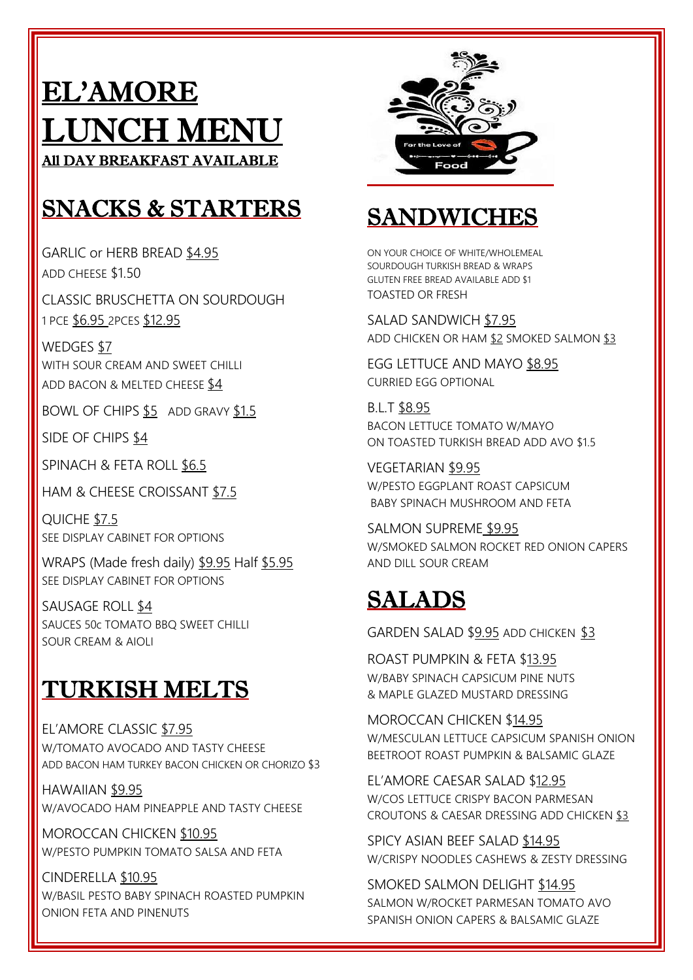# EL'AMORE LUNCH MENU All DAY BREAKFAST AVAILABLE

# SNACKS & STARTERS

GARLIC or HERB BREAD \$4.95 ADD CHEESE \$1.50

CLASSIC BRUSCHETTA ON SOURDOUGH 1 PCE \$6.95 2PCES \$12.95

WEDGES \$7 WITH SOUR CREAM AND SWEET CHILLI ADD BACON & MELTED CHEESE \$4

BOWL OF CHIPS \$5 ADD GRAVY \$1.5

SIDE OF CHIPS \$4

SPINACH & FETA ROLL \$6.5

HAM & CHEESE CROISSANT \$7.5

QUICHE \$7.5 SEE DISPLAY CABINET FOR OPTIONS

WRAPS (Made fresh daily) \$9.95 Half \$5.95 SEE DISPLAY CABINET FOR OPTIONS

SAUSAGE ROLL \$4 SAUCES 50c TOMATO BBQ SWEET CHILLI SOUR CREAM & AIOLI

# TURKISH MELTS

EL'AMORE CLASSIC \$7.95 W/TOMATO AVOCADO AND TASTY CHEESE ADD BACON HAM TURKEY BACON CHICKEN OR CHORIZO \$3

HAWAIIAN \$9.95 W/AVOCADO HAM PINEAPPLE AND TASTY CHEESE

MOROCCAN CHICKEN \$10.95 W/PESTO PUMPKIN TOMATO SALSA AND FETA

CINDERELLA \$10.95 W/BASIL PESTO BABY SPINACH ROASTED PUMPKIN ONION FETA AND PINENUTS



## SANDWICHES

ON YOUR CHOICE OF WHITE/WHOLEMEAL SOURDOUGH TURKISH BREAD & WRAPS GLUTEN FREE BREAD AVAILABLE ADD \$1 TOASTED OR FRESH

SALAD SANDWICH \$7.95 ADD CHICKEN OR HAM \$2 SMOKED SALMON \$3

EGG LETTUCE AND MAYO \$8.95 CURRIED EGG OPTIONAL

B.L.T \$8.95 BACON LETTUCE TOMATO W/MAYO ON TOASTED TURKISH BREAD ADD AVO \$1.5

VEGETARIAN \$9.95 W/PESTO EGGPLANT ROAST CAPSICUM BABY SPINACH MUSHROOM AND FETA

SALMON SUPREME \$9.95 W/SMOKED SALMON ROCKET RED ONION CAPERS AND DILL SOUR CREAM

# SALADS

GARDEN SALAD \$9.95 ADD CHICKEN \$3

ROAST PUMPKIN & FETA \$13.95 W/BABY SPINACH CAPSICUM PINE NUTS & MAPLE GLAZED MUSTARD DRESSING

MOROCCAN CHICKEN \$14.95 W/MESCULAN LETTUCE CAPSICUM SPANISH ONION BEETROOT ROAST PUMPKIN & BALSAMIC GLAZE

EL'AMORE CAESAR SALAD \$12.95 W/COS LETTUCE CRISPY BACON PARMESAN CROUTONS & CAESAR DRESSING ADD CHICKEN \$3

SPICY ASIAN BEEF SALAD \$14.95 W/CRISPY NOODLES CASHEWS & ZESTY DRESSING

SMOKED SALMON DELIGHT \$14.95 SALMON W/ROCKET PARMESAN TOMATO AVO SPANISH ONION CAPERS & BALSAMIC GLAZE